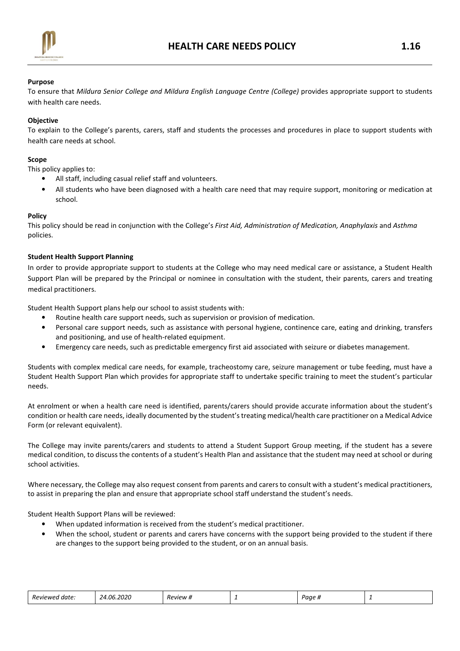

# Purpose

To ensure that Mildura Senior College and Mildura English Language Centre (College) provides appropriate support to students with health care needs.

# **Objective**

To explain to the College's parents, carers, staff and students the processes and procedures in place to support students with health care needs at school.

## Scope

This policy applies to:

- All staff, including casual relief staff and volunteers.
- All students who have been diagnosed with a health care need that may require support, monitoring or medication at school.

## Policy

This policy should be read in conjunction with the College's First Aid, Administration of Medication, Anaphylaxis and Asthma policies.

# Student Health Support Planning

In order to provide appropriate support to students at the College who may need medical care or assistance, a Student Health Support Plan will be prepared by the Principal or nominee in consultation with the student, their parents, carers and treating medical practitioners.

Student Health Support plans help our school to assist students with:

- Routine health care support needs, such as supervision or provision of medication.
- Personal care support needs, such as assistance with personal hygiene, continence care, eating and drinking, transfers and positioning, and use of health-related equipment.
- Emergency care needs, such as predictable emergency first aid associated with seizure or diabetes management.

Students with complex medical care needs, for example, tracheostomy care, seizure management or tube feeding, must have a Student Health Support Plan which provides for appropriate staff to undertake specific training to meet the student's particular needs.

At enrolment or when a health care need is identified, parents/carers should provide accurate information about the student's condition or health care needs, ideally documented by the student's treating medical/health care practitioner on a Medical Advice Form (or relevant equivalent).

The College may invite parents/carers and students to attend a Student Support Group meeting, if the student has a severe medical condition, to discuss the contents of a student's Health Plan and assistance that the student may need at school or during school activities.

Where necessary, the College may also request consent from parents and carers to consult with a student's medical practitioners, to assist in preparing the plan and ensure that appropriate school staff understand the student's needs.

Student Health Support Plans will be reviewed:

- When updated information is received from the student's medical practitioner.
- When the school, student or parents and carers have concerns with the support being provided to the student if there are changes to the support being provided to the student, or on an annual basis.

| 2020<br>-N6<br>. .<br>Reviewed<br>, date '<br>,,, | <i>P</i> eview #<br>. . | - | Paae <sub>n</sub> |  |  |
|---------------------------------------------------|-------------------------|---|-------------------|--|--|
|---------------------------------------------------|-------------------------|---|-------------------|--|--|